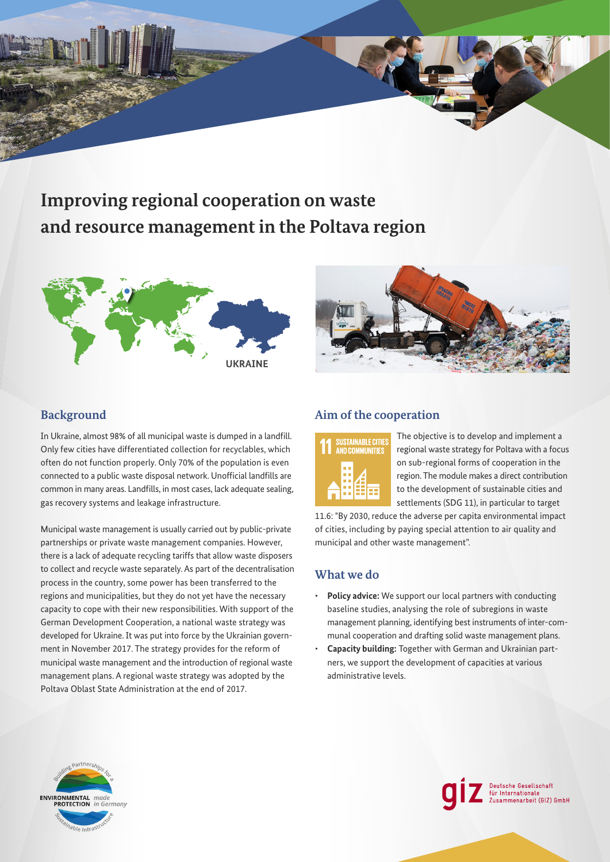# **Improving regional cooperation on waste and resource management in the Poltava region**





# **Background**

In Ukraine, almost 98% of all municipal waste is dumped in a landfill. Only few cities have differentiated collection for recyclables, which often do not function properly. Only 70% of the population is even connected to a public waste disposal network. Unofficial landfills are common in many areas. Landfills, in most cases, lack adequate sealing, gas recovery systems and leakage infrastructure.

Municipal waste management is usually carried out by public-private partnerships or private waste management companies. However, there is a lack of adequate recycling tariffs that allow waste disposers to collect and recycle waste separately. As part of the decentralisation process in the country, some power has been transferred to the regions and municipalities, but they do not yet have the necessary capacity to cope with their new responsibilities. With support of the German Development Cooperation, a national waste strategy was developed for Ukraine. It was put into force by the Ukrainian government in November 2017. The strategy provides for the reform of municipal waste management and the introduction of regional waste management plans. A regional waste strategy was adopted by the Poltava Oblast State Administration at the end of 2017.

## **Aim of the cooperation**



The objective is to develop and implement a regional waste strategy for Poltava with a focus on sub-regional forms of cooperation in the region. The module makes a direct contribution to the development of sustainable cities and settlements (SDG 11), in particular to target

Deutsche Gesellschaft<br>für Internationale<br>Zusammenarbeit (GIZ) GmbH

11.6: "By 2030, reduce the adverse per capita environmental impact of cities, including by paying special attention to air quality and municipal and other waste management".

## **What we do**

- **Policy advice:** We support our local partners with conducting baseline studies, analysing the role of subregions in waste management planning, identifying best instruments of inter-communal cooperation and drafting solid waste management plans.
- **Capacity building:** Together with German and Ukrainian partners, we support the development of capacities at various administrative levels.